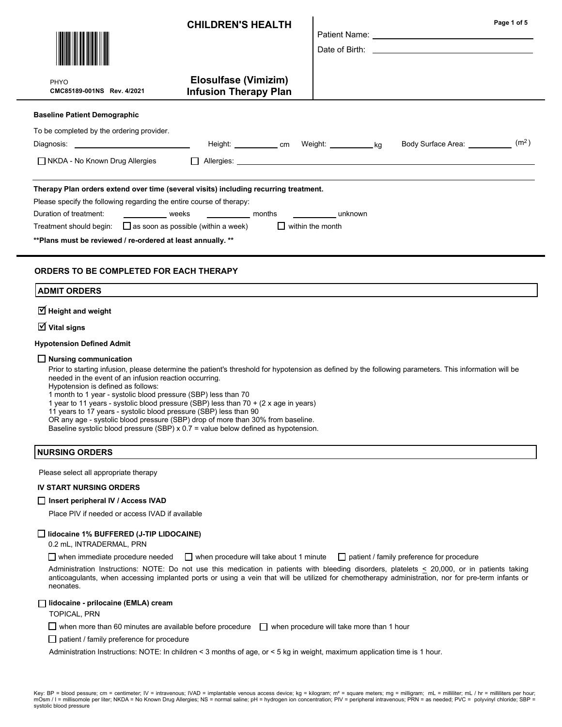|                                                                                                                                                                                                                                                                                                 | <b>CHILDREN'S HEALTH</b>                                                                                                                                  |                                    | Page 1 of 5<br>Patient Name: University of the Contract of the Contract of the Contract of the Contract of the Contract of the Contract of the Contract of the Contract of the Contract of the Contract of the Contract of the Contract of th |
|-------------------------------------------------------------------------------------------------------------------------------------------------------------------------------------------------------------------------------------------------------------------------------------------------|-----------------------------------------------------------------------------------------------------------------------------------------------------------|------------------------------------|-----------------------------------------------------------------------------------------------------------------------------------------------------------------------------------------------------------------------------------------------|
| <b>PHYO</b><br>CMC85189-001NS Rev. 4/2021                                                                                                                                                                                                                                                       | <b>Elosulfase (Vimizim)</b><br><b>Infusion Therapy Plan</b>                                                                                               |                                    |                                                                                                                                                                                                                                               |
| <b>Baseline Patient Demographic</b><br>To be completed by the ordering provider.                                                                                                                                                                                                                | Height: _____________ cm Weight: ____________ kg                                                                                                          |                                    | (m <sup>2</sup> )<br>Body Surface Area: __________                                                                                                                                                                                            |
| $\Box$ NKDA - No Known Drug Allergies                                                                                                                                                                                                                                                           | $\Box$                                                                                                                                                    |                                    |                                                                                                                                                                                                                                               |
| Please specify the following regarding the entire course of therapy:<br>Duration of treatment:<br>weeks<br>Treatment should begin: $\Box$ as soon as possible (within a week)<br>** Plans must be reviewed / re-ordered at least annually. **<br><b>ORDERS TO BE COMPLETED FOR EACH THERAPY</b> | <b>Example 1</b> and months                                                                                                                               | unknown<br>$\Box$ within the month |                                                                                                                                                                                                                                               |
| <b>ADMIT ORDERS</b>                                                                                                                                                                                                                                                                             |                                                                                                                                                           |                                    |                                                                                                                                                                                                                                               |
| $\overline{\mathbf{y}}$ Height and weight                                                                                                                                                                                                                                                       |                                                                                                                                                           |                                    |                                                                                                                                                                                                                                               |
| $\overline{\mathbf{y}}$ Vital signs                                                                                                                                                                                                                                                             |                                                                                                                                                           |                                    |                                                                                                                                                                                                                                               |
| <b>Hypotension Defined Admit</b>                                                                                                                                                                                                                                                                |                                                                                                                                                           |                                    |                                                                                                                                                                                                                                               |
| $\Box$ Nursing communication<br>needed in the event of an infusion reaction occurring.<br>Hypotension is defined as follows:<br>1 month to 1 year - systolic blood pressure (SBP) less than 70                                                                                                  | 1 year to 11 years - systolic blood pressure (SBP) less than 70 + (2 x age in years)<br>11 years to 17 years - systolic blood pressure (SBD) less than 90 |                                    | Prior to starting infusion, please determine the patient's threshold for hypotension as defined by the following parameters. This information will be                                                                                         |

ears to 17 years - systolic blood pressure (SBP) less than 9

OR any age - systolic blood pressure (SBP) drop of more than 30% from baseline.

Baseline systolic blood pressure (SBP) x 0.7 = value below defined as hypotension.

# NURSING ORDERS

Please select all appropriate therapy

## IV START NURSING ORDERS

#### □ Insert peripheral IV / Access IVAD

Place PIV if needed or access IVAD if available

## $\Box$  lidocaine 1% BUFFERED (J-TIP LIDOCAINE)

0.2 mL, INTRADERMAL, PRN

 $\Box$  when immediate procedure needed  $\Box$  when procedure will take about 1 minute  $\Box$  patient / family preference for procedure

Administration Instructions: NOTE: Do not use this medication in patients with bleeding disorders, platelets < 20,000, or in patients taking anticoagulants, when accessing implanted ports or using a vein that will be utilized for chemotherapy administration, nor for pre-term infants or neonates.

#### lidocaine - prilocaine (EMLA) cream

TOPICAL, PRN

 $\Box$  when more than 60 minutes are available before procedure  $\Box$  when procedure will take more than 1 hour

 $\Box$  patient / family preference for procedure

Administration Instructions: NOTE: In children < 3 months of age, or < 5 kg in weight, maximum application time is 1 hour.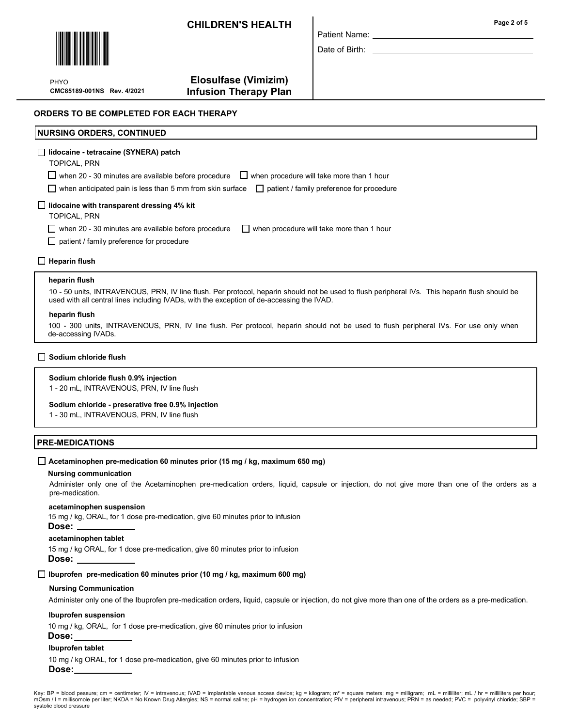CHILDREN'S HEALTH **Page 2 of 5** and 2 of 5



PHYO

# Elosulfase (Vimizim) CMC85189-001NS Rev. 4/2021 Infusion Therapy Plan

ORDERS TO BE COMPLETED FOR EACH THERAPY

# NURSING ORDERS, CONTINUED

## lidocaine - tetracaine (SYNERA) patch

TOPICAL, PRN

 $\Box$  when 20 - 30 minutes are available before procedure  $\Box$  when procedure will take more than 1 hour

when anticipated pain is less than 5 mm from skin surface  $\Box$  patient / family preference for procedure

## $\Box$  lidocaine with transparent dressing 4% kit

TOPICAL, PRN

when 20 - 30 minutes are available before procedure  $\Box$  when procedure will take more than 1 hour

□ patient / family preference for procedure

## $\Box$  Heparin flush

#### heparin flush

10 - 50 units, INTRAVENOUS, PRN, IV line flush. Per protocol, heparin should not be used to flush peripheral IVs. This heparin flush should be used with all central lines including IVADs, with the exception of de-accessing the IVAD.

#### heparin flush

100 - 300 units, INTRAVENOUS, PRN, IV line flush. Per protocol, heparin should not be used to flush peripheral IVs. For use only when de-accessing IVADs.

## $\Box$  Sodium chloride flush

## Sodium chloride flush 0.9% injection

1 - 20 mL, INTRAVENOUS, PRN, IV line flush

#### Sodium chloride - preserative free 0.9% injection

1 - 30 mL, INTRAVENOUS, PRN, IV line flush

## PRE-MEDICATIONS

#### $\Box$  Acetaminophen pre-medication 60 minutes prior (15 mg / kg, maximum 650 mg)

#### Nursing communication

Administer only one of the Acetaminophen pre-medication orders, liquid, capsule or injection, do not give more than one of the orders as a pre-medication.

#### acetaminophen suspension

15 mg / kg, ORAL, for 1 dose pre-medication, give 60 minutes prior to infusion

#### Dose:

# acetaminophen tablet

15 mg / kg ORAL, for 1 dose pre-medication, give 60 minutes prior to infusion Dose:

# $\Box$  Ibuprofen pre-medication 60 minutes prior (10 mg / kg, maximum 600 mg)

## Nursing Communication

Administer only one of the Ibuprofen pre-medication orders, liquid, capsule or injection, do not give more than one of the orders as a pre-medication.

## Ibuprofen suspension

10 mg / kg, ORAL, for 1 dose pre-medication, give 60 minutes prior to infusion

# Ibuprofen tablet

Dose:

10 mg / kg ORAL, for 1 dose pre-medication, give 60 minutes prior to infusion Dose:

Key: BP = blood pessure; cm = centimeter; IV = intravenous; IVAD = implantable venous access device; kg = kilogram; m<sup>2</sup> = square meters; mg = milligram; mL = milliliter; mL / hr = milliliters per hour; mOsm / I = millisomole per liter; NKDA = No Known Drug Allergies; NS = normal saline; pH = hydrogen ion concentration; PIV = peripheral intravenous; PRN = as needed; PVC = polyvinyl chloride; SBP = systolic blood pressure

Date of Birth:

Patient Name: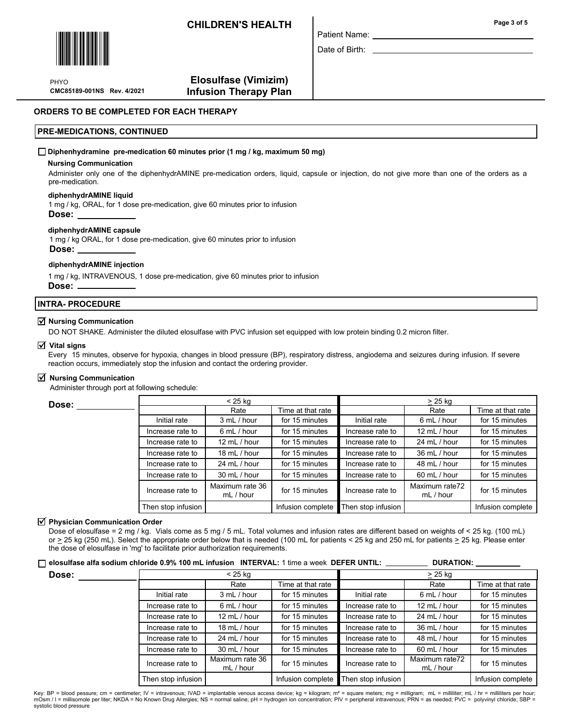CHILDREN'S HEALTH



PHYO

Elosulfase (Vimizim) CMC85189-001NS Rev. 4/2021 Infusion Therapy Plan

## ORDERS TO BE COMPLETED FOR EACH THERAPY

## PRE-MEDICATIONS, CONTINUED

#### $\Box$  Diphenhydramine pre-medication 60 minutes prior (1 mg / kg, maximum 50 mg)

#### Nursing Communication

Administer only one of the diphenhydrAMINE pre-medication orders, liquid, capsule or injection, do not give more than one of the orders as a pre-medication.

Patient Name: Date of Birth:

## diphenhydrAMINE liquid

1 mg / kg, ORAL, for 1 dose pre-medication, give 60 minutes prior to infusion Dose:

#### diphenhydrAMINE capsule

1 mg / kg ORAL, for 1 dose pre-medication, give 60 minutes prior to infusion Dose:

#### diphenhydrAMINE injection

1 mg / kg, INTRAVENOUS, 1 dose pre-medication, give 60 minutes prior to infusion Dose:

# INTRA- PROCEDURE

# $\overline{\mathbf{y}}$  Nursing Communication

DO NOT SHAKE. Administer the diluted elosulfase with PVC infusion set equipped with low protein binding 0.2 micron filter.

# $\overline{\mathsf{y}}$  Vital signs

Every 15 minutes, observe for hypoxia, changes in blood pressure (BP), respiratory distress, angiodema and seizures during infusion. If severe reaction occurs, immediately stop the infusion and contact the ordering provider.

# $\overline{\mathbf{y}}$  Nursing Communication

Administer through port at following schedule:

| Dose: | $< 25$ ka          |                              |                   | > 25 ka            |                             |                   |
|-------|--------------------|------------------------------|-------------------|--------------------|-----------------------------|-------------------|
|       |                    | Rate                         | Time at that rate |                    | Rate                        | Time at that rate |
|       | Initial rate       | 3 mL / hour                  | for 15 minutes    | Initial rate       | 6 mL / hour                 | for 15 minutes    |
|       | Increase rate to   | 6 mL / hour                  | for 15 minutes    | Increase rate to   | 12 mL / hour                | for 15 minutes    |
|       | Increase rate to   | 12 mL / hour                 | for 15 minutes    | Increase rate to   | 24 mL / hour                | for 15 minutes    |
|       | Increase rate to   | 18 mL / hour                 | for 15 minutes    | Increase rate to   | 36 mL / hour                | for 15 minutes    |
|       | Increase rate to   | 24 mL / hour                 | for 15 minutes    | Increase rate to   | 48 mL / hour                | for 15 minutes    |
|       | Increase rate to   | 30 mL / hour                 | for 15 minutes    | Increase rate to   | 60 mL / hour                | for 15 minutes    |
|       | Increase rate to   | Maximum rate 36<br>mL / hour | for 15 minutes    | Increase rate to   | Maximum rate72<br>mL / hour | for 15 minutes    |
|       | Then stop infusion |                              | Infusion complete | Then stop infusion |                             | Infusion complete |

# $\overline{\mathsf{y}}$  Physician Communication Order

Dose of elosulfase = 2 mg / kg. Vials come as 5 mg / 5 mL. Total volumes and infusion rates are different based on weights of < 25 kg. (100 mL) or  $\geq$  25 kg (250 mL). Select the appropriate order below that is needed (100 mL for patients < 25 kg and 250 mL for patients  $\geq$  25 kg. Please enter the dose of elosulfase in 'mg' to facilitate prior authorization requirements.

#### $\Box$  elosulfase alfa sodium chloride 0.9% 100 mL infusion INTERVAL: 1 time a week DEFER UNTIL: DURATION:

| Dose: | $<$ 25 kg          |                              |                   | $\geq$ 25 kg       |                             |                   |
|-------|--------------------|------------------------------|-------------------|--------------------|-----------------------------|-------------------|
|       |                    | Rate                         | Time at that rate |                    | Rate                        | Time at that rate |
|       | Initial rate       | 3 mL / hour                  | for 15 minutes    | Initial rate       | 6 mL / hour                 | for 15 minutes    |
|       | Increase rate to   | 6 mL / hour                  | for 15 minutes    | Increase rate to   | 12 mL / hour                | for 15 minutes    |
|       | Increase rate to   | 12 mL / hour                 | for 15 minutes    | Increase rate to   | 24 mL / hour                | for 15 minutes    |
|       | Increase rate to   | 18 mL / hour                 | for 15 minutes    | Increase rate to   | 36 mL / hour                | for 15 minutes    |
|       | Increase rate to   | 24 mL / hour                 | for 15 minutes    | Increase rate to   | 48 mL / hour                | for 15 minutes    |
|       | Increase rate to   | 30 mL / hour                 | for 15 minutes    | Increase rate to   | 60 mL / hour                | for 15 minutes    |
|       | Increase rate to   | Maximum rate 36<br>mL / hour | for 15 minutes    | Increase rate to   | Maximum rate72<br>mL / hour | for 15 minutes    |
|       | Then stop infusion |                              | Infusion complete | Then stop infusion |                             | Infusion complete |

Key: BP = blood pessure; cm = centimeter; IV = intravenous; IVAD = implantable venous access device; kg = kilogram; m² = square meters; mg = milligram; mL = milliliter; mL / hr = milliliters per hour;<br>mOsm / I = millisomo systolic blood pressure

Page 3 of 5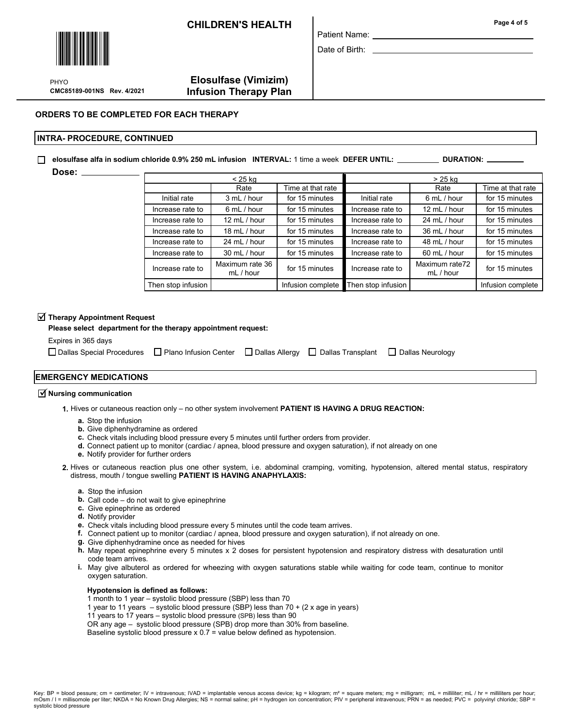CHILDREN'S HEALTH **Page 4 of 5** 



PHYO

# Elosulfase (Vimizim) CMC85189-001NS Rev. 4/2021 Infusion Therapy Plan

# ORDERS TO BE COMPLETED FOR EACH THERAPY

## INTRA- PROCEDURE, CONTINUED

 $\Box$  elosulfase alfa in sodium chloride 0.9% 250 mL infusion INTERVAL: 1 time a week DEFER UNTIL:  $\Box$ DURATION: .

Dose: \_

| $<$ 25 kg          |                              |                   | > 25 kg            |                             |                   |  |
|--------------------|------------------------------|-------------------|--------------------|-----------------------------|-------------------|--|
|                    | Rate                         | Time at that rate |                    | Rate                        | Time at that rate |  |
| Initial rate       | 3 mL / hour                  | for 15 minutes    | Initial rate       | 6 mL / hour                 | for 15 minutes    |  |
| Increase rate to   | 6 mL / hour                  | for 15 minutes    | Increase rate to   | 12 mL / hour                | for 15 minutes    |  |
| Increase rate to   | 12 mL / hour                 | for 15 minutes    | Increase rate to   | 24 mL / hour                | for 15 minutes    |  |
| Increase rate to   | 18 mL / hour                 | for 15 minutes    | Increase rate to   | 36 mL / hour                | for 15 minutes    |  |
| Increase rate to   | 24 mL / hour                 | for 15 minutes    | Increase rate to   | 48 mL / hour                | for 15 minutes    |  |
| Increase rate to   | 30 mL / hour                 | for 15 minutes    | Increase rate to   | $60$ mL $/$ hour            | for 15 minutes    |  |
| Increase rate to   | Maximum rate 36<br>mL / hour | for 15 minutes    | Increase rate to   | Maximum rate72<br>mL / hour | for 15 minutes    |  |
| Then stop infusion |                              | Infusion complete | Then stop infusion |                             | Infusion complete |  |

Patient Name: Date of Birth:

# $\overline{\blacktriangleleft}$  Therapy Appointment Request

Please select department for the therapy appointment request:

Expires in 365 days

 $\Box$  Dallas Special Procedures  $\Box$  Plano Infusion Center  $\Box$  Dallas Allergy  $\Box$  Dallas Transplant  $\Box$  Dallas Neurology

# EMERGENCY MEDICATIONS

# $\overrightarrow{\mathbf{y}}$  Nursing communication

1. Hives or cutaneous reaction only – no other system involvement PATIENT IS HAVING A DRUG REACTION:

- a. Stop the infusion
- **b.** Give diphenhydramine as ordered
- c. Check vitals including blood pressure every 5 minutes until further orders from provider.
- d. Connect patient up to monitor (cardiac / apnea, blood pressure and oxygen saturation), if not already on one
- e. Notify provider for further orders
- 2. Hives or cutaneous reaction plus one other system, i.e. abdominal cramping, vomiting, hypotension, altered mental status, respiratory distress, mouth / tongue swelling PATIENT IS HAVING ANAPHYLAXIS:
	- a. Stop the infusion
	- **b.** Call code do not wait to give epinephrine
	- c. Give epinephrine as ordered
	- d. Notify provider
	- e. Check vitals including blood pressure every 5 minutes until the code team arrives.
	- f. Connect patient up to monitor (cardiac / apnea, blood pressure and oxygen saturation), if not already on one.
	- g. Give diphenhydramine once as needed for hives
	- h. May repeat epinephrine every 5 minutes x 2 doses for persistent hypotension and respiratory distress with desaturation until code team arrives.
	- May give albuterol as ordered for wheezing with oxygen saturations stable while waiting for code team, continue to monitor i. oxygen saturation.

#### Hypotension is defined as follows:

- 1 month to 1 year systolic blood pressure (SBP) less than 70
- 1 year to 11 years systolic blood pressure (SBP) less than 70 + (2 x age in years)
- 11 years to 17 years systolic blood pressure (SPB) less than 90
- OR any age systolic blood pressure (SPB) drop more than 30% from baseline.
- Baseline systolic blood pressure x 0.7 = value below defined as hypotension.